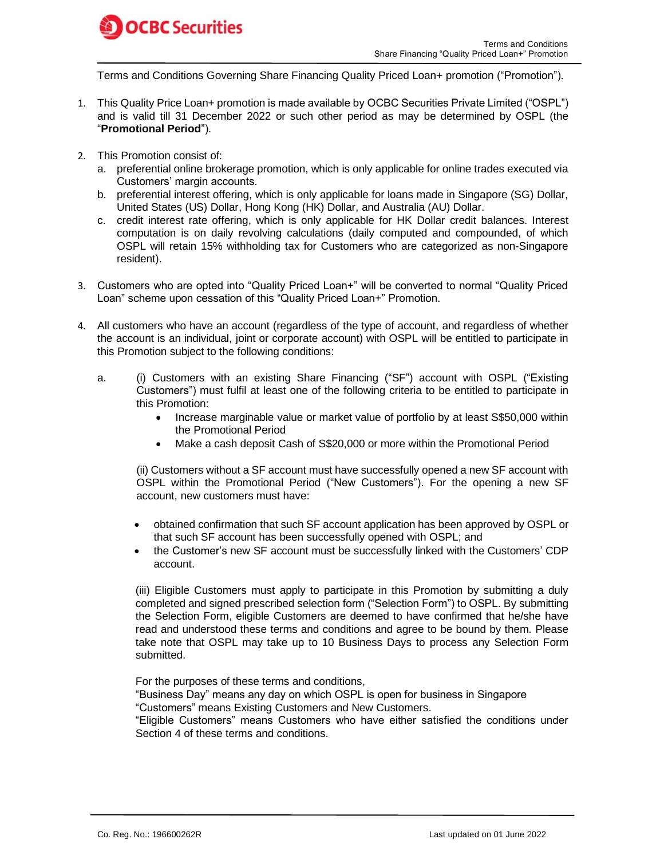

Terms and Conditions Governing Share Financing Quality Priced Loan+ promotion ("Promotion").

- 1. This Quality Price Loan+ promotion is made available by OCBC Securities Private Limited ("OSPL") and is valid till 31 December 2022 or such other period as may be determined by OSPL (the "**Promotional Period**").
- 2. This Promotion consist of:
	- a. preferential online brokerage promotion, which is only applicable for online trades executed via Customers' margin accounts.
	- b. preferential interest offering, which is only applicable for loans made in Singapore (SG) Dollar, United States (US) Dollar, Hong Kong (HK) Dollar, and Australia (AU) Dollar.
	- c. credit interest rate offering, which is only applicable for HK Dollar credit balances. Interest computation is on daily revolving calculations (daily computed and compounded, of which OSPL will retain 15% withholding tax for Customers who are categorized as non-Singapore resident).
- 3. Customers who are opted into "Quality Priced Loan+" will be converted to normal "Quality Priced Loan" scheme upon cessation of this "Quality Priced Loan+" Promotion.
- 4. All customers who have an account (regardless of the type of account, and regardless of whether the account is an individual, joint or corporate account) with OSPL will be entitled to participate in this Promotion subject to the following conditions:
	- a. (i) Customers with an existing Share Financing ("SF") account with OSPL ("Existing Customers") must fulfil at least one of the following criteria to be entitled to participate in this Promotion:
		- Increase marginable value or market value of portfolio by at least S\$50,000 within the Promotional Period
		- Make a cash deposit Cash of S\$20,000 or more within the Promotional Period

(ii) Customers without a SF account must have successfully opened a new SF account with OSPL within the Promotional Period ("New Customers"). For the opening a new SF account, new customers must have:

- obtained confirmation that such SF account application has been approved by OSPL or that such SF account has been successfully opened with OSPL; and
- the Customer's new SF account must be successfully linked with the Customers' CDP account.

(iii) Eligible Customers must apply to participate in this Promotion by submitting a duly completed and signed prescribed selection form ("Selection Form") to OSPL. By submitting the Selection Form, eligible Customers are deemed to have confirmed that he/she have read and understood these terms and conditions and agree to be bound by them. Please take note that OSPL may take up to 10 Business Days to process any Selection Form submitted.

For the purposes of these terms and conditions,

"Business Day" means any day on which OSPL is open for business in Singapore "Customers" means Existing Customers and New Customers.

"Eligible Customers" means Customers who have either satisfied the conditions under Section 4 of these terms and conditions.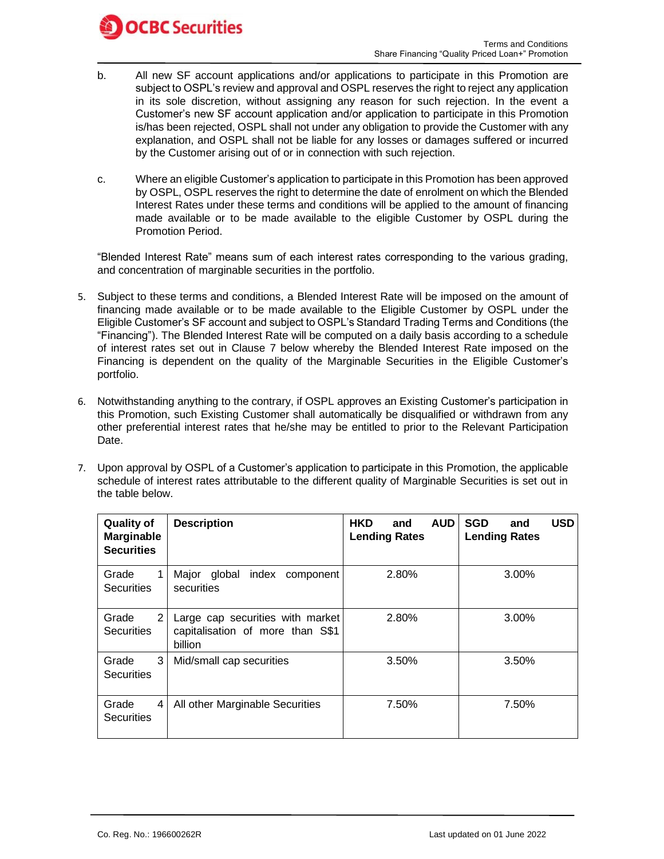

- b. All new SF account applications and/or applications to participate in this Promotion are subject to OSPL's review and approval and OSPL reserves the right to reject any application in its sole discretion, without assigning any reason for such rejection. In the event a Customer's new SF account application and/or application to participate in this Promotion is/has been rejected, OSPL shall not under any obligation to provide the Customer with any explanation, and OSPL shall not be liable for any losses or damages suffered or incurred by the Customer arising out of or in connection with such rejection.
- c. Where an eligible Customer's application to participate in this Promotion has been approved by OSPL, OSPL reserves the right to determine the date of enrolment on which the Blended Interest Rates under these terms and conditions will be applied to the amount of financing made available or to be made available to the eligible Customer by OSPL during the Promotion Period.

"Blended Interest Rate" means sum of each interest rates corresponding to the various grading, and concentration of marginable securities in the portfolio.

- 5. Subject to these terms and conditions, a Blended Interest Rate will be imposed on the amount of financing made available or to be made available to the Eligible Customer by OSPL under the Eligible Customer's SF account and subject to OSPL's Standard Trading Terms and Conditions (the "Financing"). The Blended Interest Rate will be computed on a daily basis according to a schedule of interest rates set out in Clause 7 below whereby the Blended Interest Rate imposed on the Financing is dependent on the quality of the Marginable Securities in the Eligible Customer's portfolio.
- 6. Notwithstanding anything to the contrary, if OSPL approves an Existing Customer's participation in this Promotion, such Existing Customer shall automatically be disqualified or withdrawn from any other preferential interest rates that he/she may be entitled to prior to the Relevant Participation Date.
- 7. Upon approval by OSPL of a Customer's application to participate in this Promotion, the applicable schedule of interest rates attributable to the different quality of Marginable Securities is set out in the table below.

| <b>Quality of</b><br>Marginable<br><b>Securities</b> | <b>Description</b>                                                              | <b>HKD</b><br><b>AUD</b><br>and<br><b>Lending Rates</b> | <b>USD</b><br><b>SGD</b><br>and<br><b>Lending Rates</b> |  |
|------------------------------------------------------|---------------------------------------------------------------------------------|---------------------------------------------------------|---------------------------------------------------------|--|
| Grade<br>1<br><b>Securities</b>                      | global<br>index<br>Major<br>component<br>securities                             | 2.80%                                                   | 3.00%                                                   |  |
| Grade<br>2 <sub>1</sub><br><b>Securities</b>         | Large cap securities with market<br>capitalisation of more than S\$1<br>billion | 2.80%                                                   | $3.00\%$                                                |  |
| Grade<br>3<br><b>Securities</b>                      | Mid/small cap securities                                                        | 3.50%                                                   | 3.50%                                                   |  |
| Grade<br>4 I<br><b>Securities</b>                    | All other Marginable Securities                                                 | 7.50%                                                   | 7.50%                                                   |  |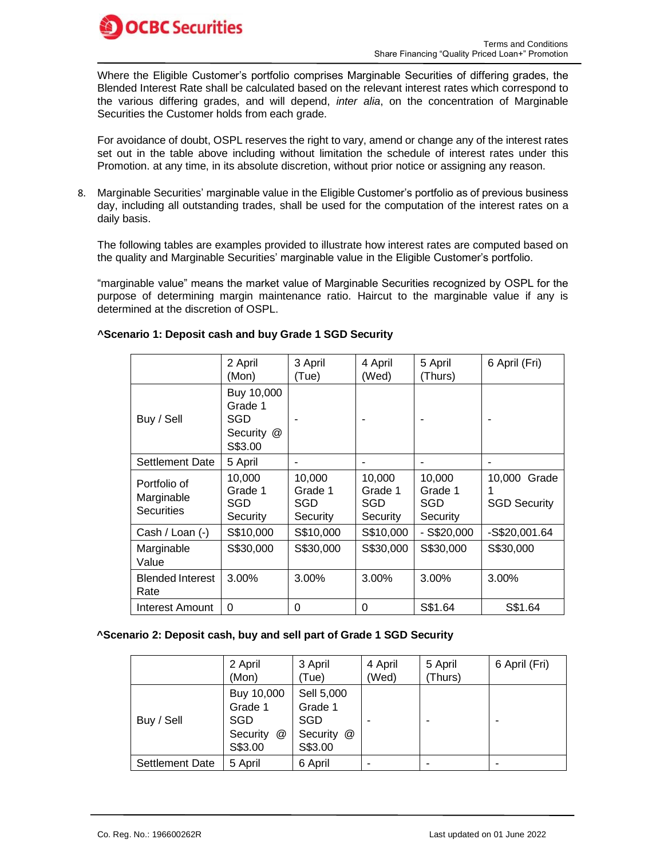

Where the Eligible Customer's portfolio comprises Marginable Securities of differing grades, the Blended Interest Rate shall be calculated based on the relevant interest rates which correspond to the various differing grades, and will depend, *inter alia*, on the concentration of Marginable Securities the Customer holds from each grade.

For avoidance of doubt, OSPL reserves the right to vary, amend or change any of the interest rates set out in the table above including without limitation the schedule of interest rates under this Promotion. at any time, in its absolute discretion, without prior notice or assigning any reason.

8. Marginable Securities' marginable value in the Eligible Customer's portfolio as of previous business day, including all outstanding trades, shall be used for the computation of the interest rates on a daily basis.

The following tables are examples provided to illustrate how interest rates are computed based on the quality and Marginable Securities' marginable value in the Eligible Customer's portfolio.

"marginable value" means the market value of Marginable Securities recognized by OSPL for the purpose of determining margin maintenance ratio. Haircut to the marginable value if any is determined at the discretion of OSPL.

|                                                 | 2 April<br>(Mon)                                      | 3 April<br>(Tue)                     | 4 April<br>(Wed)                     | 5 April<br>(Thurs)                   | 6 April (Fri)                       |
|-------------------------------------------------|-------------------------------------------------------|--------------------------------------|--------------------------------------|--------------------------------------|-------------------------------------|
| Buy / Sell                                      | Buy 10,000<br>Grade 1<br>SGD<br>Security @<br>S\$3.00 |                                      |                                      |                                      |                                     |
| Settlement Date                                 | 5 April                                               |                                      |                                      |                                      |                                     |
| Portfolio of<br>Marginable<br><b>Securities</b> | 10,000<br>Grade 1<br>SGD<br>Security                  | 10,000<br>Grade 1<br>SGD<br>Security | 10,000<br>Grade 1<br>SGD<br>Security | 10,000<br>Grade 1<br>SGD<br>Security | 10,000 Grade<br><b>SGD Security</b> |
| Cash / Loan (-)                                 | S\$10,000                                             | S\$10,000                            | S\$10,000                            | $-$ S\$20,000                        | -S\$20,001.64                       |
| Marginable<br>Value                             | S\$30,000                                             | S\$30,000                            | S\$30,000                            | S\$30,000                            | S\$30,000                           |
| <b>Blended Interest</b><br>Rate                 | 3.00%                                                 | 3.00%                                | 3.00%                                | 3.00%                                | 3.00%                               |
| Interest Amount                                 | 0                                                     | $\Omega$                             | 0                                    | S\$1.64                              | S\$1.64                             |

## **^Scenario 1: Deposit cash and buy Grade 1 SGD Security**

### **^Scenario 2: Deposit cash, buy and sell part of Grade 1 SGD Security**

|                        | 2 April<br>(Mon)                                         | 3 April<br>(Tue)                                                                   | 4 April<br>(Wed) | 5 April<br>(Thurs) | 6 April (Fri) |
|------------------------|----------------------------------------------------------|------------------------------------------------------------------------------------|------------------|--------------------|---------------|
| Buy / Sell             | Buy 10,000<br>Grade 1<br>SGD<br>Security<br>@<br>S\$3.00 | Sell 5,000<br>Grade 1<br><b>SGD</b><br>Security<br>$^{\textregistered}$<br>S\$3.00 |                  |                    |               |
| <b>Settlement Date</b> | 5 April                                                  | 6 April                                                                            |                  |                    |               |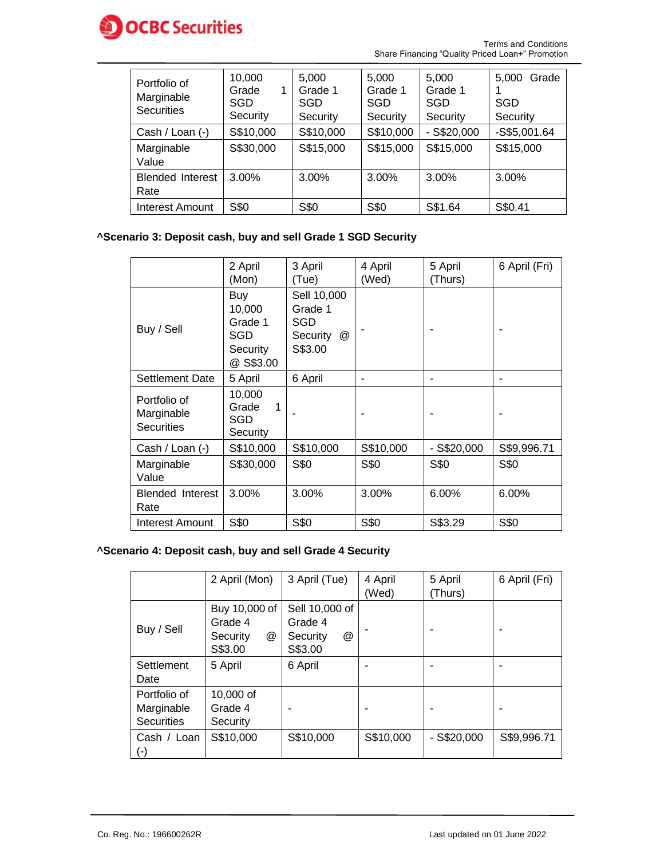

Terms and Conditions Share Financing "Quality Priced Loan+" Promotion

| Portfolio of<br>Marginable<br><b>Securities</b> | 10,000<br>Grade<br>1<br>SGD<br>Security | 5.000<br>Grade 1<br>SGD<br>Security | 5.000<br>Grade 1<br>SGD<br>Security | 5.000<br>Grade 1<br>SGD<br>Security | 5.000<br>Grade<br>SGD<br>Security |
|-------------------------------------------------|-----------------------------------------|-------------------------------------|-------------------------------------|-------------------------------------|-----------------------------------|
| Cash / Loan (-)                                 | S\$10,000                               | S\$10,000                           | S\$10,000                           | $-$ S\$20,000                       | $-S$5,001.64$                     |
| Marginable<br>Value                             | S\$30,000                               | S\$15,000                           | S\$15,000                           | S\$15,000                           | S\$15,000                         |
| <b>Blended Interest</b><br>Rate                 | $3.00\%$                                | $3.00\%$                            | 3.00%                               | 3.00%                               | $3.00\%$                          |
| Interest Amount                                 | S\$0                                    | S\$0                                | S\$0                                | S\$1.64                             | S\$0.41                           |

# **^Scenario 3: Deposit cash, buy and sell Grade 1 SGD Security**

|                                                 | 2 April<br>(Mon)                                         | 3 April<br>(Tue)                                          | 4 April<br>(Wed) | 5 April<br>(Thurs) | 6 April (Fri) |
|-------------------------------------------------|----------------------------------------------------------|-----------------------------------------------------------|------------------|--------------------|---------------|
| Buy / Sell                                      | Buy<br>10,000<br>Grade 1<br>SGD<br>Security<br>@ S\$3.00 | Sell 10,000<br>Grade 1<br>SGD<br>Security<br>@<br>S\$3.00 |                  |                    |               |
| Settlement Date                                 | 5 April                                                  | 6 April                                                   |                  |                    |               |
| Portfolio of<br>Marginable<br><b>Securities</b> | 10,000<br>Grade<br>1<br>SGD<br>Security                  |                                                           |                  |                    |               |
| Cash / Loan (-)                                 | S\$10,000                                                | S\$10,000                                                 | S\$10,000        | $-$ S\$20,000      | S\$9,996.71   |
| Marginable<br>Value                             | S\$30,000                                                | S\$0                                                      | S\$0             | S\$0               | S\$0          |
| <b>Blended Interest</b><br>Rate                 | 3.00%                                                    | 3.00%                                                     | 3.00%            | 6.00%              | 6.00%         |
| Interest Amount                                 | S\$0                                                     | S\$0                                                      | S\$0             | S\$3.29            | S\$0          |

## **^Scenario 4: Deposit cash, buy and sell Grade 4 Security**

|                                                 | 2 April (Mon)                                        | 3 April (Tue)                                         | 4 April<br>(Wed) | 5 April<br>(Thurs) | 6 April (Fri) |
|-------------------------------------------------|------------------------------------------------------|-------------------------------------------------------|------------------|--------------------|---------------|
| Buy / Sell                                      | Buy 10,000 of<br>Grade 4<br>@<br>Security<br>S\$3.00 | Sell 10,000 of<br>Grade 4<br>@<br>Security<br>S\$3.00 |                  |                    |               |
| Settlement<br>Date                              | 5 April                                              | 6 April                                               |                  |                    |               |
| Portfolio of<br>Marginable<br><b>Securities</b> | 10,000 of<br>Grade 4<br>Security                     |                                                       |                  |                    |               |
| Cash / Loan<br>$(\textnormal{-})$               | S\$10,000                                            | S\$10,000                                             | S\$10,000        | $-$ S\$20,000      | S\$9,996.71   |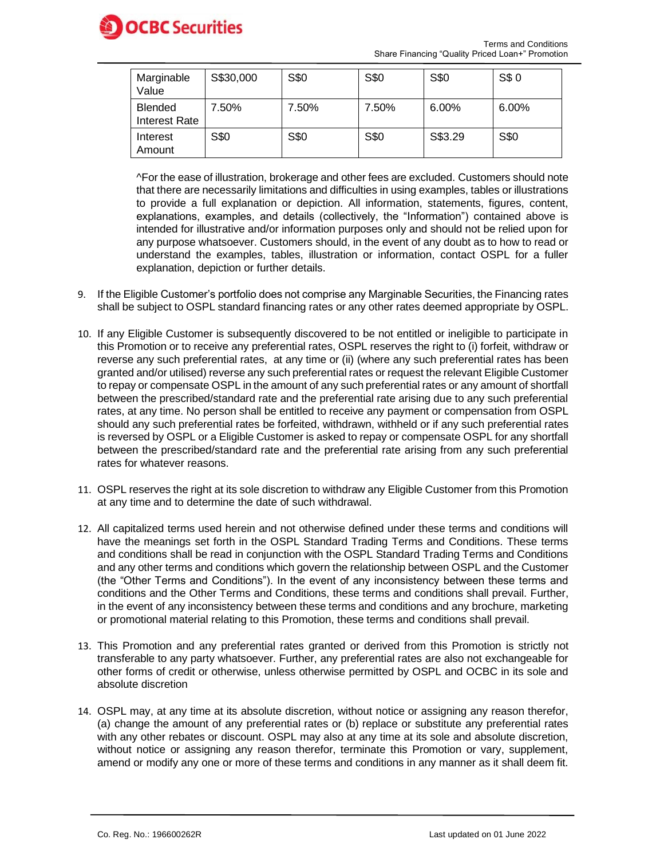

| Marginable<br>Value                    | S\$30,000 | S\$0  | S\$0  | S\$0    | S\$ 0 |
|----------------------------------------|-----------|-------|-------|---------|-------|
| <b>Blended</b><br><b>Interest Rate</b> | 7.50%     | 7.50% | 7.50% | 6.00%   | 6.00% |
| Interest<br>Amount                     | S\$0      | S\$0  | S\$0  | S\$3.29 | S\$0  |

^For the ease of illustration, brokerage and other fees are excluded. Customers should note that there are necessarily limitations and difficulties in using examples, tables or illustrations to provide a full explanation or depiction. All information, statements, figures, content, explanations, examples, and details (collectively, the "Information") contained above is intended for illustrative and/or information purposes only and should not be relied upon for any purpose whatsoever. Customers should, in the event of any doubt as to how to read or understand the examples, tables, illustration or information, contact OSPL for a fuller explanation, depiction or further details.

- 9. If the Eligible Customer's portfolio does not comprise any Marginable Securities, the Financing rates shall be subject to OSPL standard financing rates or any other rates deemed appropriate by OSPL.
- 10. If any Eligible Customer is subsequently discovered to be not entitled or ineligible to participate in this Promotion or to receive any preferential rates, OSPL reserves the right to (i) forfeit, withdraw or reverse any such preferential rates, at any time or (ii) (where any such preferential rates has been granted and/or utilised) reverse any such preferential rates or request the relevant Eligible Customer to repay or compensate OSPL in the amount of any such preferential rates or any amount of shortfall between the prescribed/standard rate and the preferential rate arising due to any such preferential rates, at any time. No person shall be entitled to receive any payment or compensation from OSPL should any such preferential rates be forfeited, withdrawn, withheld or if any such preferential rates is reversed by OSPL or a Eligible Customer is asked to repay or compensate OSPL for any shortfall between the prescribed/standard rate and the preferential rate arising from any such preferential rates for whatever reasons.
- 11. OSPL reserves the right at its sole discretion to withdraw any Eligible Customer from this Promotion at any time and to determine the date of such withdrawal.
- 12. All capitalized terms used herein and not otherwise defined under these terms and conditions will have the meanings set forth in the OSPL Standard Trading Terms and Conditions. These terms and conditions shall be read in conjunction with the OSPL Standard Trading Terms and Conditions and any other terms and conditions which govern the relationship between OSPL and the Customer (the "Other Terms and Conditions"). In the event of any inconsistency between these terms and conditions and the Other Terms and Conditions, these terms and conditions shall prevail. Further, in the event of any inconsistency between these terms and conditions and any brochure, marketing or promotional material relating to this Promotion, these terms and conditions shall prevail.
- 13. This Promotion and any preferential rates granted or derived from this Promotion is strictly not transferable to any party whatsoever. Further, any preferential rates are also not exchangeable for other forms of credit or otherwise, unless otherwise permitted by OSPL and OCBC in its sole and absolute discretion
- 14. OSPL may, at any time at its absolute discretion, without notice or assigning any reason therefor, (a) change the amount of any preferential rates or (b) replace or substitute any preferential rates with any other rebates or discount. OSPL may also at any time at its sole and absolute discretion, without notice or assigning any reason therefor, terminate this Promotion or vary, supplement, amend or modify any one or more of these terms and conditions in any manner as it shall deem fit.